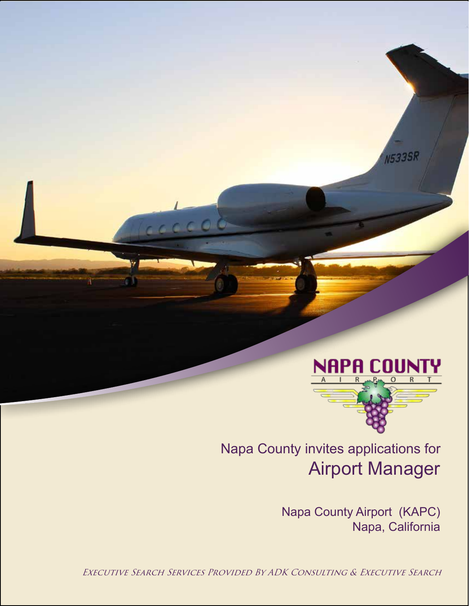

**N533SR** 

Airport Manager Napa County invites applications for

> Napa County Airport (KAPC) Napa, California

Executive Search Services Provided By ADK Consulting & Executive Search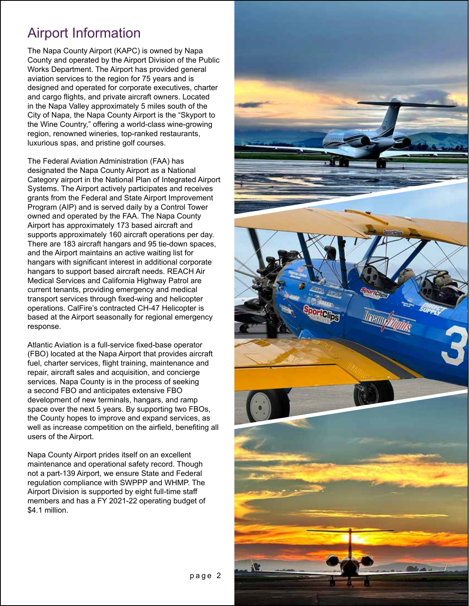### Airport Information

The Napa County Airport (KAPC) is owned by Napa County and operated by the Airport Division of the Public Works Department. The Airport has provided general aviation services to the region for 75 years and is designed and operated for corporate executives, charter and cargo flights, and private aircraft owners. Located in the Napa Valley approximately 5 miles south of the City of Napa, the Napa County Airport is the "Skyport to the Wine Country," offering a world-class wine-growing region, renowned wineries, top-ranked restaurants, luxurious spas, and pristine golf courses.

The Federal Aviation Administration (FAA) has designated the Napa County Airport as a National Category airport in the National Plan of Integrated Airport Systems. The Airport actively participates and receives grants from the Federal and State Airport Improvement Program (AIP) and is served daily by a Control Tower owned and operated by the FAA. The Napa County Airport has approximately 173 based aircraft and supports approximately 160 aircraft operations per day. There are 183 aircraft hangars and 95 tie-down spaces, and the Airport maintains an active waiting list for hangars with significant interest in additional corporate hangars to support based aircraft needs. REACH Air Medical Services and California Highway Patrol are current tenants, providing emergency and medical transport services through fixed-wing and helicopter operations. CalFire's contracted CH-47 Helicopter is based at the Airport seasonally for regional emergency response.

Atlantic Aviation is a full-service fixed-base operator (FBO) located at the Napa Airport that provides aircraft fuel, charter services, flight training, maintenance and repair, aircraft sales and acquisition, and concierge services. Napa County is in the process of seeking a second FBO and anticipates extensive FBO development of new terminals, hangars, and ramp space over the next 5 years. By supporting two FBOs, the County hopes to improve and expand services, as well as increase competition on the airfield, benefiting all users of the Airport.

Napa County Airport prides itself on an excellent maintenance and operational safety record. Though not a part-139 Airport, we ensure State and Federal regulation compliance with SWPPP and WHMP. The Airport Division is supported by eight full-time staff members and has a FY 2021-22 operating budget of \$4.1 million.

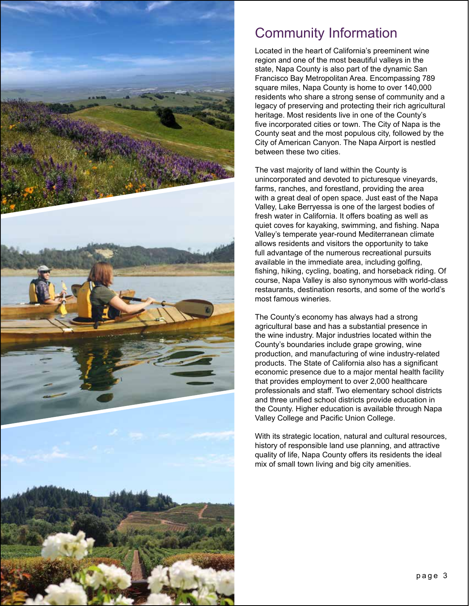

### Community Information

Located in the heart of California's preeminent wine region and one of the most beautiful valleys in the state, Napa County is also part of the dynamic San Francisco Bay Metropolitan Area. Encompassing 789 square miles, Napa County is home to over 140,000 residents who share a strong sense of community and a legacy of preserving and protecting their rich agricultural heritage. Most residents live in one of the County's five incorporated cities or town. The City of Napa is the County seat and the most populous city, followed by the City of American Canyon. The Napa Airport is nestled between these two cities.

The vast majority of land within the County is unincorporated and devoted to picturesque vineyards, farms, ranches, and forestland, providing the area with a great deal of open space. Just east of the Napa Valley, Lake Berryessa is one of the largest bodies of fresh water in California. It offers boating as well as quiet coves for kayaking, swimming, and fishing. Napa Valley's temperate year-round Mediterranean climate allows residents and visitors the opportunity to take full advantage of the numerous recreational pursuits available in the immediate area, including golfing, fishing, hiking, cycling, boating, and horseback riding. Of course, Napa Valley is also synonymous with world-class restaurants, destination resorts, and some of the world's most famous wineries.

The County's economy has always had a strong agricultural base and has a substantial presence in the wine industry. Major industries located within the County's boundaries include grape growing, wine production, and manufacturing of wine industry-related products. The State of California also has a significant economic presence due to a major mental health facility that provides employment to over 2,000 healthcare professionals and staff. Two elementary school districts and three unified school districts provide education in the County. Higher education is available through Napa Valley College and Pacific Union College.

With its strategic location, natural and cultural resources, history of responsible land use planning, and attractive quality of life, Napa County offers its residents the ideal mix of small town living and big city amenities.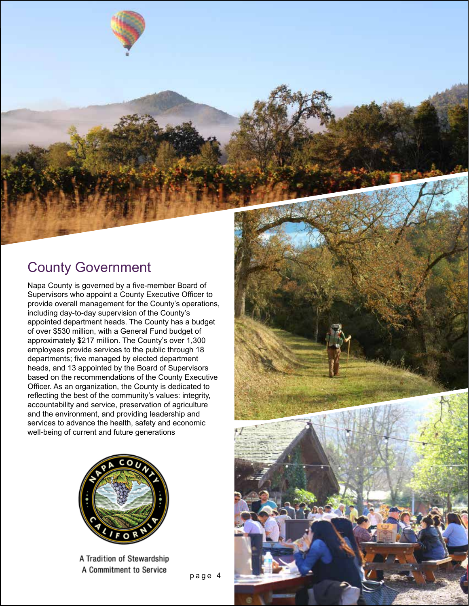

Napa County is governed by a five-member Board of Supervisors who appoint a County Executive Officer to provide overall management for the County's operations, including day-to-day supervision of the County's appointed department heads. The County has a budget of over \$530 million, with a General Fund budget of approximately \$217 million. The County's over 1,300 employees provide services to the public through 18 departments; five managed by elected department heads, and 13 appointed by the Board of Supervisors based on the recommendations of the County Executive Officer. As an organization, the County is dedicated to reflecting the best of the community's values: integrity, accountability and service, preservation of agriculture and the environment, and providing leadership and services to advance the health, safety and economic well-being of current and future generations



A Tradition of Stewardship A Commitment to Service

page 4

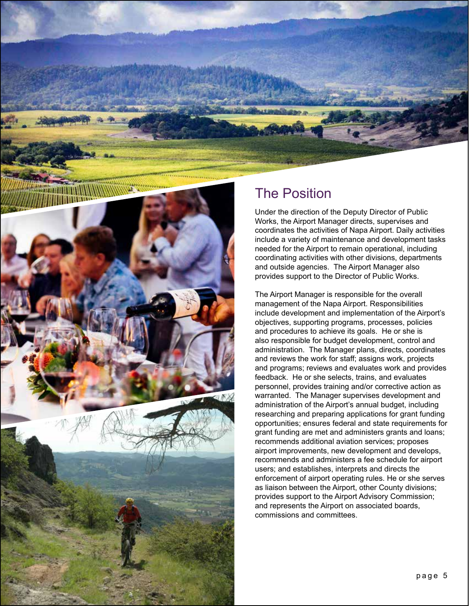

#### The Position

Under the direction of the Deputy Director of Public Works, the Airport Manager directs, supervises and coordinates the activities of Napa Airport. Daily activities include a variety of maintenance and development tasks needed for the Airport to remain operational, including coordinating activities with other divisions, departments and outside agencies. The Airport Manager also provides support to the Director of Public Works.

The Airport Manager is responsible for the overall management of the Napa Airport. Responsibilities include development and implementation of the Airport's objectives, supporting programs, processes, policies and procedures to achieve its goals. He or she is also responsible for budget development, control and administration. The Manager plans, directs, coordinates and reviews the work for staff; assigns work, projects and programs; reviews and evaluates work and provides feedback. He or she selects, trains, and evaluates personnel, provides training and/or corrective action as warranted. The Manager supervises development and administration of the Airport's annual budget, including researching and preparing applications for grant funding opportunities; ensures federal and state requirements for grant funding are met and administers grants and loans; recommends additional aviation services; proposes airport improvements, new development and develops, recommends and administers a fee schedule for airport users; and establishes, interprets and directs the enforcement of airport operating rules. He or she serves as liaison between the Airport, other County divisions; provides support to the Airport Advisory Commission; and represents the Airport on associated boards, commissions and committees.